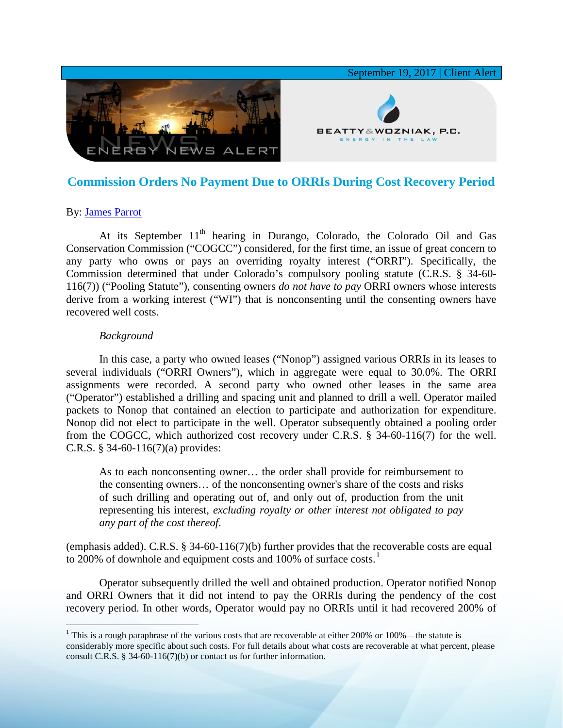

# **Commission Orders No Payment Due to ORRIs During Cost Recovery Period**

## By: [James Parrot](https://www.bwenergylaw.com/james-parrot)

At its September  $11<sup>th</sup>$  hearing in Durango, Colorado, the Colorado Oil and Gas Conservation Commission ("COGCC") considered, for the first time, an issue of great concern to any party who owns or pays an overriding royalty interest ("ORRI"). Specifically, the Commission determined that under Colorado's compulsory pooling statute (C.R.S. § 34-60- 116(7)) ("Pooling Statute"), consenting owners *do not have to pay* ORRI owners whose interests derive from a working interest ("WI") that is nonconsenting until the consenting owners have recovered well costs.

### *Background*

In this case, a party who owned leases ("Nonop") assigned various ORRIs in its leases to several individuals ("ORRI Owners"), which in aggregate were equal to 30.0%. The ORRI assignments were recorded. A second party who owned other leases in the same area ("Operator") established a drilling and spacing unit and planned to drill a well. Operator mailed packets to Nonop that contained an election to participate and authorization for expenditure. Nonop did not elect to participate in the well. Operator subsequently obtained a pooling order from the COGCC, which authorized cost recovery under C.R.S. § 34-60-116(7) for the well. C.R.S. § 34-60-116(7)(a) provides:

As to each nonconsenting owner… the order shall provide for reimbursement to the consenting owners… of the nonconsenting owner's share of the costs and risks of such drilling and operating out of, and only out of, production from the unit representing his interest, *excluding royalty or other interest not obligated to pay any part of the cost thereof*.

(emphasis added). C.R.S. § 34-60-116(7)(b) further provides that the recoverable costs are equal to 200% of downhole and equipment costs and [1](#page-0-0)00% of surface costs.<sup>1</sup>

Operator subsequently drilled the well and obtained production. Operator notified Nonop and ORRI Owners that it did not intend to pay the ORRIs during the pendency of the cost recovery period. In other words, Operator would pay no ORRIs until it had recovered 200% of

<span id="page-0-0"></span><sup>&</sup>lt;sup>1</sup> This is a rough paraphrase of the various costs that are recoverable at either 200% or 100%—the statute is considerably more specific about such costs. For full details about what costs are recoverable at what percent, please consult C.R.S. § 34-60-116(7)(b) or contact us for further information.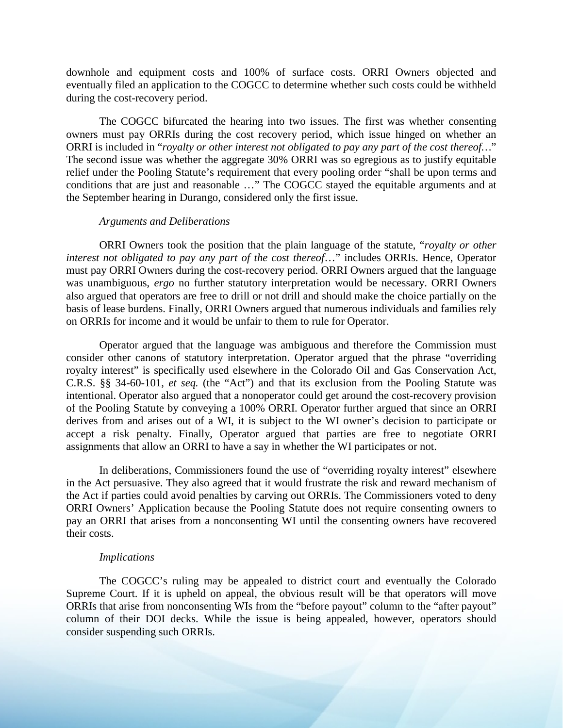downhole and equipment costs and 100% of surface costs. ORRI Owners objected and eventually filed an application to the COGCC to determine whether such costs could be withheld during the cost-recovery period.

The COGCC bifurcated the hearing into two issues. The first was whether consenting owners must pay ORRIs during the cost recovery period, which issue hinged on whether an ORRI is included in "*royalty or other interest not obligated to pay any part of the cost thereof…*" The second issue was whether the aggregate 30% ORRI was so egregious as to justify equitable relief under the Pooling Statute's requirement that every pooling order "shall be upon terms and conditions that are just and reasonable ..." The COGCC stayed the equitable arguments and at the September hearing in Durango, considered only the first issue.

#### *Arguments and Deliberations*

ORRI Owners took the position that the plain language of the statute, "*royalty or other interest not obligated to pay any part of the cost thereof*…" includes ORRIs. Hence, Operator must pay ORRI Owners during the cost-recovery period. ORRI Owners argued that the language was unambiguous, *ergo* no further statutory interpretation would be necessary. ORRI Owners also argued that operators are free to drill or not drill and should make the choice partially on the basis of lease burdens. Finally, ORRI Owners argued that numerous individuals and families rely on ORRIs for income and it would be unfair to them to rule for Operator.

Operator argued that the language was ambiguous and therefore the Commission must consider other canons of statutory interpretation. Operator argued that the phrase "overriding royalty interest" is specifically used elsewhere in the Colorado Oil and Gas Conservation Act, C.R.S. §§ 34-60-101, *et seq.* (the "Act") and that its exclusion from the Pooling Statute was intentional. Operator also argued that a nonoperator could get around the cost-recovery provision of the Pooling Statute by conveying a 100% ORRI. Operator further argued that since an ORRI derives from and arises out of a WI, it is subject to the WI owner's decision to participate or accept a risk penalty. Finally, Operator argued that parties are free to negotiate ORRI assignments that allow an ORRI to have a say in whether the WI participates or not.

In deliberations, Commissioners found the use of "overriding royalty interest" elsewhere in the Act persuasive. They also agreed that it would frustrate the risk and reward mechanism of the Act if parties could avoid penalties by carving out ORRIs. The Commissioners voted to deny ORRI Owners' Application because the Pooling Statute does not require consenting owners to pay an ORRI that arises from a nonconsenting WI until the consenting owners have recovered their costs.

### *Implications*

The COGCC's ruling may be appealed to district court and eventually the Colorado Supreme Court. If it is upheld on appeal, the obvious result will be that operators will move ORRIs that arise from nonconsenting WIs from the "before payout" column to the "after payout" column of their DOI decks. While the issue is being appealed, however, operators should consider suspending such ORRIs.